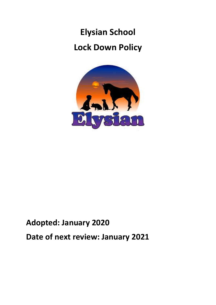# **Elysian School Lock Down Policy**



## **Adopted: January 2020 Date of next review: January 2021**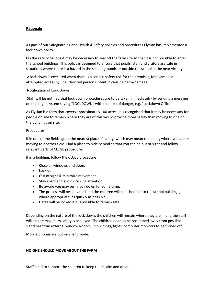#### **Rationale**

As part of our Safeguarding and Health & Safety policies and procedures Elysian has implemented a lock down policy.

On the rare occasions it may be necessary to seal off the farm site so that it is not possible to enter the school buildings. This policy is designed to ensure that pupils, staff and visitors are safe in situations where there is a hazard in the school grounds or outside the school in the near vicinity.

A lock down is executed when there is a serious safety risk for the premises, for example a attempted access by unauthorized persons intent in causing harm/damage.

#### Notification of Lock Down

Staff will be notified that lock down procedures are to be taken immediately- by sending a message on the pager system saying "LOCKDOWN" with the area of danger, e.g. "Lockdown Office"

As Elysian is a farm that covers approximately 100 acres, it is recognised that it may be necessary for people on site to remain where they are of this would provide more safety than moving to one of the buildings on site.

#### Procedures:

If in one of the fields, go to the nearest place of safety, which may mean remaining where you are or moving to another field. Find a place to hide behind so that you can be out of sight and follow relevant parts of CLOSE procedure.

If in a building, follow the CLOSE procedure

- **C**lose all windows and doors
- Lock up
- Out of sight & minimize movement
- Stay silent and avoid drawing attention
- Be aware you may be in lock down for some time.
- The process will be activated and the children will be ushered into the school buildings, where appropriate, as quickly as possible.
- Gates will be locked if it is possible to remain safe.

Depending on the nature of the lock down, the children will remain where they are in and the staff will ensure maximum safety is achieved. The children need to be positioned away from possible sightlines from external windows/doors. In buildings, lights, computer monitors to be turned off.

Mobile phones are put on silent mode.

#### **NO ONE SHOULD MOVE ABOUT THE FARM**

Staff need to support the children to keep them calm and quiet.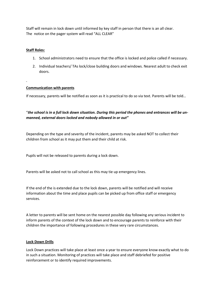Staff will remain in lock down until informed by key staff in person that there is an all clear. The notice on the pager system will read "ALL CLEAR"

#### **Staff Roles:**

- 1. School administrators need to ensure that the office is locked and police called if necessary.
- 2. Individual teachers/ TAs lock/close building doors and windows. Nearest adult to check exit doors.

#### **Communication with parents**

If necessary, parents will be notified as soon as it is practical to do so via text. Parents will be told…

#### "*the school is in a full lock down situation. During this period the phones and entrances will be unmanned, external doors locked and nobody allowed in or out"*

Depending on the type and severity of the incident, parents may be asked NOT to collect their children from school as it may put them and their child at risk.

Pupils will not be released to parents during a lock down.

Parents will be asked not to call school as this may tie up emergency lines.

If the end of the is extended due to the lock down, parents will be notified and will receive information about the time and place pupils can be picked up from office staff or emergency services.

A letter to parents will be sent home on the nearest possible day following any serious incident to inform parents of the context of the lock down and to encourage parents to reinforce with their children the importance of following procedures in these very rare circumstances.

#### **Lock Down Drills**

Lock Down practices will take place at least once a year to ensure everyone know exactly what to do in such a situation. Monitoring of practices will take place and staff debriefed for positive reinforcement or to identify required improvements.